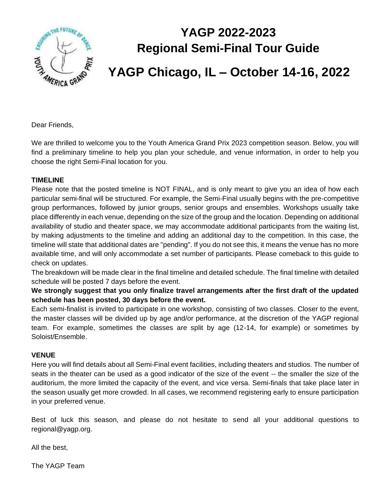

## **YAGP 2022-2023 Regional Semi-Final Tour Guide**

## **YAGP Chicago, IL – October 14-16, 2022**

Dear Friends,

We are thrilled to welcome you to the Youth America Grand Prix 2023 competition season. Below, you will find a preliminary timeline to help you plan your schedule, and venue information, in order to help you choose the right Semi-Final location for you.

#### **TIMELINE**

Please note that the posted timeline is NOT FINAL, and is only meant to give you an idea of how each particular semi-final will be structured. For example, the Semi-Final usually begins with the pre-competitive group performances, followed by junior groups, senior groups and ensembles. Workshops usually take place differently in each venue, depending on the size of the group and the location. Depending on additional availability of studio and theater space, we may accommodate additional participants from the waiting list, by making adjustments to the timeline and adding an additional day to the competition. In this case, the timeline will state that additional dates are "pending". If you do not see this, it means the venue has no more available time, and will only accommodate a set number of participants. Please comeback to this guide to check on updates.

The breakdown will be made clear in the final timeline and detailed schedule. The final timeline with detailed schedule will be posted 7 days before the event.

**We strongly suggest that you only finalize travel arrangements after the first draft of the updated schedule has been posted, 30 days before the event.** 

Each semi-finalist is invited to participate in one workshop, consisting of two classes. Closer to the event, the master classes will be divided up by age and/or performance, at the discretion of the YAGP regional team. For example, sometimes the classes are split by age (12-14, for example) or sometimes by Soloist/Ensemble.

#### **VENUE**

Here you will find details about all Semi-Final event facilities, including theaters and studios. The number of seats in the theater can be used as a good indicator of the size of the event -- the smaller the size of the auditorium, the more limited the capacity of the event, and vice versa. Semi-finals that take place later in the season usually get more crowded. In all cases, we recommend registering early to ensure participation in your preferred venue.

Best of luck this season, and please do not hesitate to send all your additional questions to regional@yagp.org.

All the best,

The YAGP Team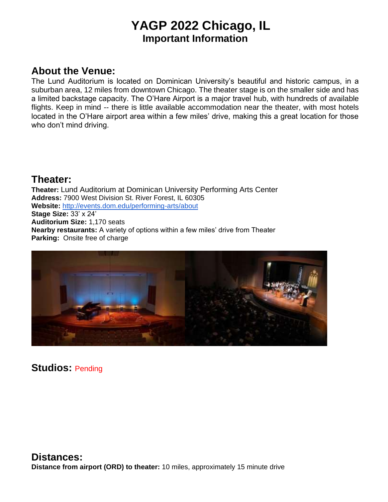### **YAGP 2022 Chicago, IL Important Information**

### **About the Venue:**

The Lund Auditorium is located on Dominican University's beautiful and historic campus, in a suburban area, 12 miles from downtown Chicago. The theater stage is on the smaller side and has a limited backstage capacity. The O'Hare Airport is a major travel hub, with hundreds of available flights. Keep in mind -- there is little available accommodation near the theater, with most hotels located in the O'Hare airport area within a few miles' drive, making this a great location for those who don't mind driving.

#### **Theater:**

**Theater:** Lund Auditorium at Dominican University Performing Arts Center **Address:** 7900 West Division St. River Forest, IL 60305 **Website:** <http://events.dom.edu/performing-arts/about> **Stage Size:** 33' x 24' **Auditorium Size:** 1,170 seats **Nearby restaurants:** A variety of options within a few miles' drive from Theater **Parking:** Onsite free of charge



**Studios:** Pending